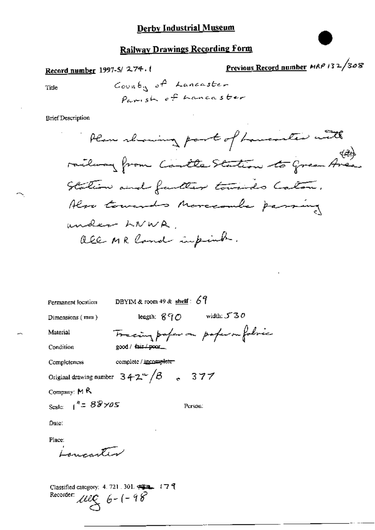## **Railway Drawings Recording Form**

Record number 1997-5/274.

Previous Record number MRP 132/308

Title

 $Conv46_N$  of Lancaster Parish of hancaster

**Brief Description** 

DBYIM & room 49 & shelf:  $69$ Permanent location

good / Gir / poor\_

Dimensions (mm)

length;  $890$  width;  $530$ Tracing professor poper on folsic

Person:

Condition

Material

Completeness complete / incomplete-

Original drawing number  $3 + 2^{\omega}/\beta$  . 377

Company:  $M R$ 

Scale:  $1'' = 88 \times 05$ 

Date:

Place:

سيستهج مرمديه

Classified category: 4, 721, 301, 432, 177 9 Recorder:  $\text{arg} 6 - (-98)$